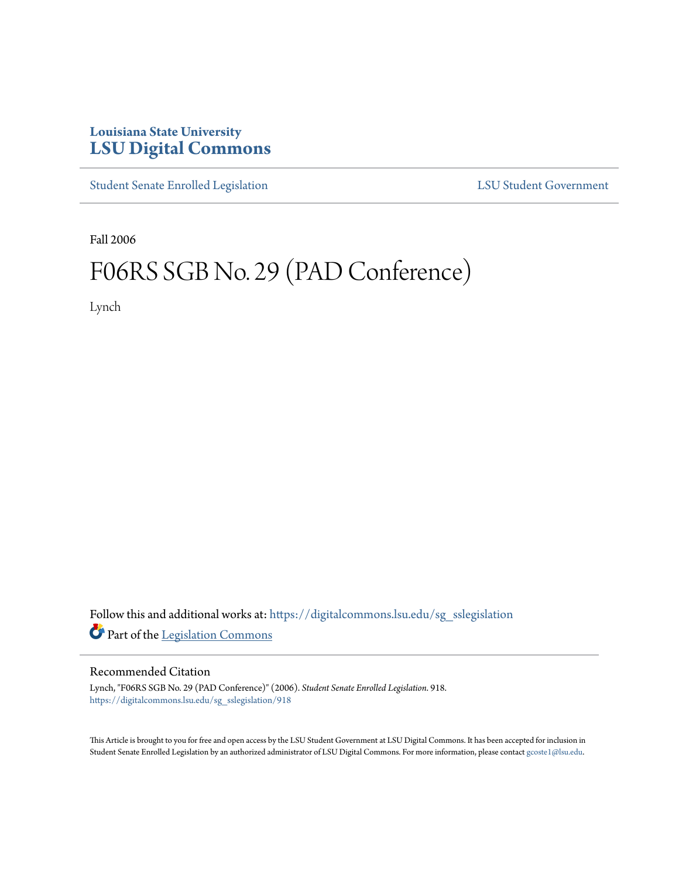## **Louisiana State University [LSU Digital Commons](https://digitalcommons.lsu.edu?utm_source=digitalcommons.lsu.edu%2Fsg_sslegislation%2F918&utm_medium=PDF&utm_campaign=PDFCoverPages)**

[Student Senate Enrolled Legislation](https://digitalcommons.lsu.edu/sg_sslegislation?utm_source=digitalcommons.lsu.edu%2Fsg_sslegislation%2F918&utm_medium=PDF&utm_campaign=PDFCoverPages) [LSU Student Government](https://digitalcommons.lsu.edu/sg?utm_source=digitalcommons.lsu.edu%2Fsg_sslegislation%2F918&utm_medium=PDF&utm_campaign=PDFCoverPages)

Fall 2006

## F06RS SGB No. 29 (PAD Conference)

Lynch

Follow this and additional works at: [https://digitalcommons.lsu.edu/sg\\_sslegislation](https://digitalcommons.lsu.edu/sg_sslegislation?utm_source=digitalcommons.lsu.edu%2Fsg_sslegislation%2F918&utm_medium=PDF&utm_campaign=PDFCoverPages) Part of the [Legislation Commons](http://network.bepress.com/hgg/discipline/859?utm_source=digitalcommons.lsu.edu%2Fsg_sslegislation%2F918&utm_medium=PDF&utm_campaign=PDFCoverPages)

## Recommended Citation

Lynch, "F06RS SGB No. 29 (PAD Conference)" (2006). *Student Senate Enrolled Legislation*. 918. [https://digitalcommons.lsu.edu/sg\\_sslegislation/918](https://digitalcommons.lsu.edu/sg_sslegislation/918?utm_source=digitalcommons.lsu.edu%2Fsg_sslegislation%2F918&utm_medium=PDF&utm_campaign=PDFCoverPages)

This Article is brought to you for free and open access by the LSU Student Government at LSU Digital Commons. It has been accepted for inclusion in Student Senate Enrolled Legislation by an authorized administrator of LSU Digital Commons. For more information, please contact [gcoste1@lsu.edu.](mailto:gcoste1@lsu.edu)